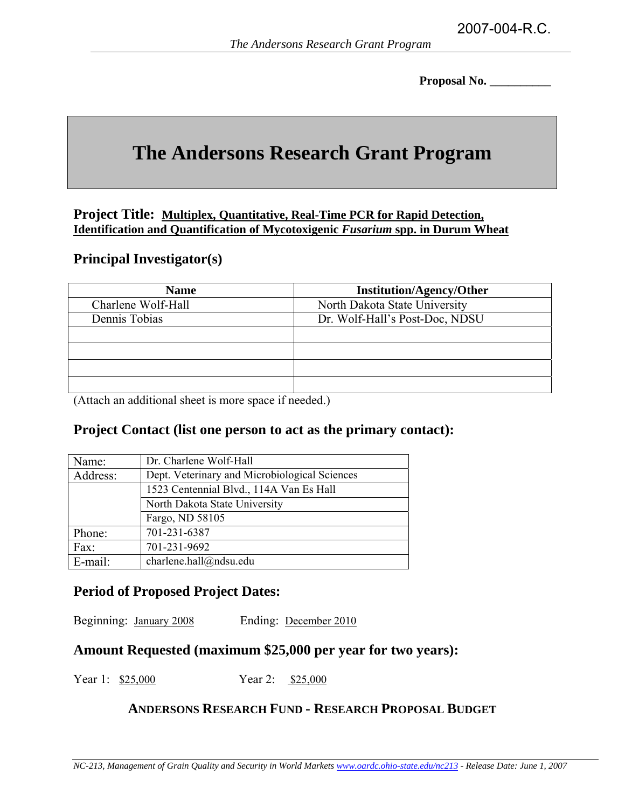**Proposal No. \_\_\_\_\_\_\_\_\_\_** 

# **The Andersons Research Grant Program**

#### **Project Title: Multiplex, Quantitative, Real-Time PCR for Rapid Detection, Identification and Quantification of Mycotoxigenic** *Fusarium* **spp. in Durum Wheat**

#### **Principal Investigator(s)**

| <b>Name</b>        | <b>Institution/Agency/Other</b> |
|--------------------|---------------------------------|
| Charlene Wolf-Hall | North Dakota State University   |
| Dennis Tobias      | Dr. Wolf-Hall's Post-Doc, NDSU  |
|                    |                                 |
|                    |                                 |
|                    |                                 |
|                    |                                 |

(Attach an additional sheet is more space if needed.)

## **Project Contact (list one person to act as the primary contact):**

| Name:    | Dr. Charlene Wolf-Hall                        |
|----------|-----------------------------------------------|
| Address: | Dept. Veterinary and Microbiological Sciences |
|          | 1523 Centennial Blvd., 114A Van Es Hall       |
|          | North Dakota State University                 |
|          | Fargo, ND 58105                               |
| Phone:   | 701-231-6387                                  |
| Fax:     | 701-231-9692                                  |
| E-mail:  | charlene.hall@ndsu.edu                        |

## **Period of Proposed Project Dates:**

Beginning: January 2008 Ending: December 2010

## **Amount Requested (maximum \$25,000 per year for two years):**

Year 1: \$25,000 Year 2: \$25,000

#### **ANDERSONS RESEARCH FUND - RESEARCH PROPOSAL BUDGET**